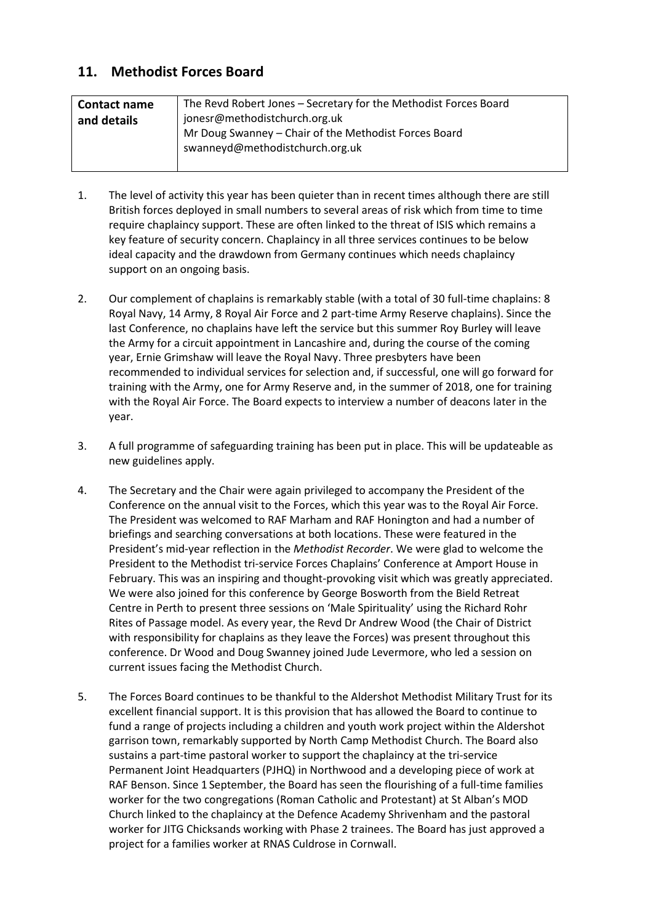## **11. Methodist Forces Board**

| <b>Contact name</b> | The Revd Robert Jones - Secretary for the Methodist Forces Board |
|---------------------|------------------------------------------------------------------|
| and details         | jonesr@methodistchurch.org.uk                                    |
|                     | Mr Doug Swanney - Chair of the Methodist Forces Board            |
|                     | swanneyd@methodistchurch.org.uk                                  |
|                     |                                                                  |

- 1. The level of activity this year has been quieter than in recent times although there are still British forces deployed in small numbers to several areas of risk which from time to time require chaplaincy support. These are often linked to the threat of ISIS which remains a key feature of security concern. Chaplaincy in all three services continues to be below ideal capacity and the drawdown from Germany continues which needs chaplaincy support on an ongoing basis.
- 2. Our complement of chaplains is remarkably stable (with a total of 30 full-time chaplains: 8 Royal Navy, 14 Army, 8 Royal Air Force and 2 part-time Army Reserve chaplains). Since the last Conference, no chaplains have left the service but this summer Roy Burley will leave the Army for a circuit appointment in Lancashire and, during the course of the coming year, Ernie Grimshaw will leave the Royal Navy. Three presbyters have been recommended to individual services for selection and, if successful, one will go forward for training with the Army, one for Army Reserve and, in the summer of 2018, one for training with the Royal Air Force. The Board expects to interview a number of deacons later in the year.
- 3. A full programme of safeguarding training has been put in place. This will be updateable as new guidelines apply.
- 4. The Secretary and the Chair were again privileged to accompany the President of the Conference on the annual visit to the Forces, which this year was to the Royal Air Force. The President was welcomed to RAF Marham and RAF Honington and had a number of briefings and searching conversations at both locations. These were featured in the President's mid-year reflection in the *Methodist Recorder*. We were glad to welcome the President to the Methodist tri-service Forces Chaplains' Conference at Amport House in February. This was an inspiring and thought-provoking visit which was greatly appreciated. We were also joined for this conference by George Bosworth from the Bield Retreat Centre in Perth to present three sessions on 'Male Spirituality' using the Richard Rohr Rites of Passage model. As every year, the Revd Dr Andrew Wood (the Chair of District with responsibility for chaplains as they leave the Forces) was present throughout this conference. Dr Wood and Doug Swanney joined Jude Levermore, who led a session on current issues facing the Methodist Church.
- 5. The Forces Board continues to be thankful to the Aldershot Methodist Military Trust for its excellent financial support. It is this provision that has allowed the Board to continue to fund a range of projects including a children and youth work project within the Aldershot garrison town, remarkably supported by North Camp Methodist Church. The Board also sustains a part-time pastoral worker to support the chaplaincy at the tri-service Permanent Joint Headquarters (PJHQ) in Northwood and a developing piece of work at RAF Benson. Since 1 September, the Board has seen the flourishing of a full-time families worker for the two congregations (Roman Catholic and Protestant) at St Alban's MOD Church linked to the chaplaincy at the Defence Academy Shrivenham and the pastoral worker for JITG Chicksands working with Phase 2 trainees. The Board has just approved a project for a families worker at RNAS Culdrose in Cornwall.